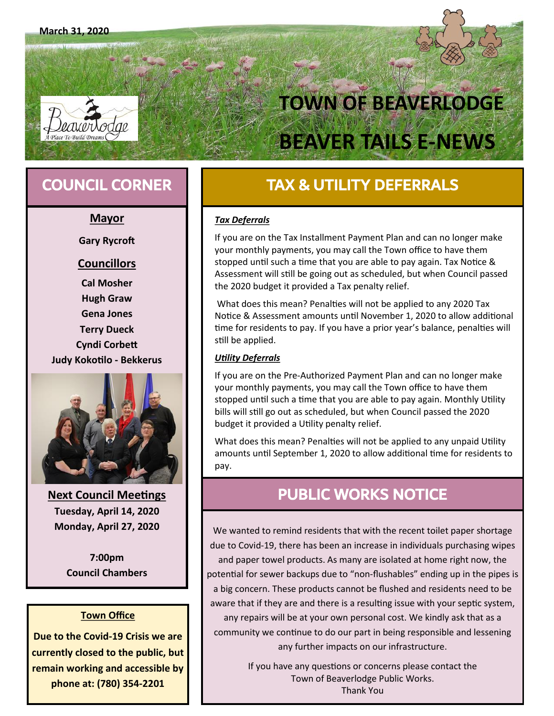# **TOWN OF BEAVERLODGE BEAVER TAILS E-NEWS**

#### **Mayor**

**Gary Rycroft**

#### **Councillors**

**Cal Mosher Hugh Graw Gena Jones Terry Dueck Cyndi Corbett Judy Kokotilo - Bekkerus**



**Next Council Meetings Tuesday, April 14, 2020 Monday, April 27, 2020**

> **7:00pm Council Chambers**

#### **Town Office**

**Due to the Covid-19 Crisis we are currently closed to the public, but remain working and accessible by phone at: (780) 354-2201**

### **COUNCIL CORNER TAX & UTILITY DEFERRALS**

#### *Tax Deferrals*

If you are on the Tax Installment Payment Plan and can no longer make your monthly payments, you may call the Town office to have them stopped until such a time that you are able to pay again. Tax Notice & Assessment will still be going out as scheduled, but when Council passed the 2020 budget it provided a Tax penalty relief.

What does this mean? Penalties will not be applied to any 2020 Tax Notice & Assessment amounts until November 1, 2020 to allow additional time for residents to pay. If you have a prior year's balance, penalties will still be applied.

#### *Utility Deferrals*

If you are on the Pre-Authorized Payment Plan and can no longer make your monthly payments, you may call the Town office to have them stopped until such a time that you are able to pay again. Monthly Utility bills will still go out as scheduled, but when Council passed the 2020 budget it provided a Utility penalty relief.

What does this mean? Penalties will not be applied to any unpaid Utility amounts until September 1, 2020 to allow additional time for residents to pay.

### PUBLIC WORKS NOTICE

We wanted to remind residents that with the recent toilet paper shortage due to Covid-19, there has been an increase in individuals purchasing wipes and paper towel products. As many are isolated at home right now, the potential for sewer backups due to "non-flushables" ending up in the pipes is a big concern. These products cannot be flushed and residents need to be aware that if they are and there is a resulting issue with your septic system, any repairs will be at your own personal cost. We kindly ask that as a community we continue to do our part in being responsible and lessening any further impacts on our infrastructure.

> If you have any questions or concerns please contact the Town of Beaverlodge Public Works. Thank You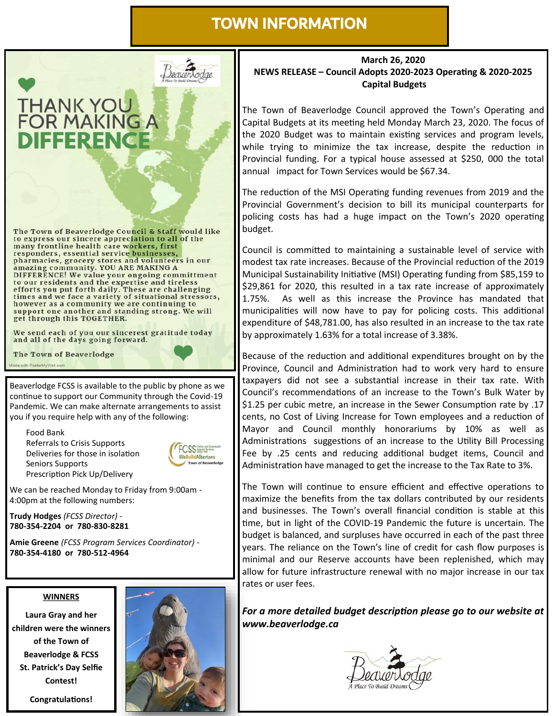### TOWN INFORMATION



many frontline health care workers, first responders, essential service businesses, pharmacies, grocery stores and volunteers in our<br>amazing community. YOU ARE MAKING A DIFFERENCE! We value your ongoing committment to our residents and the expertise and tireless<br>efforts you put forth daily. These are challenging<br>times and we face a variety of situational stressors, however as a community we are continuing to support one another and standing strong. We will get through this TOGETHER.

We send each of you our sincerest gratitude today and all of the days going forward.



Beaverlodge FCSS is available to the public by phone as we continue to support our Community through the Covid-19 Pandemic. We can make alternate arrangements to assist you if you require help with any of the following:

Food Bank Referrals to Crisis Supports Deliveries for those in isolation Seniors Supports Prescription Pick Up/Delivery



We can be reached Monday to Friday from 9:00am - 4:00pm at the following numbers:

**Trudy Hodges** *(FCSS Director)* - **780-354-2204 or 780-830-8281**

**Amie Greene** *(FCSS Program Services Coordinator)* - **780-354-4180 or 780-512-4964**

#### **WINNERS**

**Laura Gray and her children were the winners of the Town of Beaverlodge & FCSS St. Patrick's Day Selfie Contest!**





#### **March 26, 2020 NEWS RELEASE – Council Adopts 2020-2023 Operating & 2020-2025 Capital Budgets**

The Town of Beaverlodge Council approved the Town's Operating and Capital Budgets at its meeting held Monday March 23, 2020. The focus of the 2020 Budget was to maintain existing services and program levels, while trying to minimize the tax increase, despite the reduction in Provincial funding. For a typical house assessed at \$250, 000 the total annual impact for Town Services would be \$67.34.

The reduction of the MSI Operating funding revenues from 2019 and the Provincial Government's decision to bill its municipal counterparts for policing costs has had a huge impact on the Town's 2020 operating budget.

Council is committed to maintaining a sustainable level of service with modest tax rate increases. Because of the Provincial reduction of the 2019 Municipal Sustainability Initiative (MSI) Operating funding from \$85,159 to \$29,861 for 2020, this resulted in a tax rate increase of approximately 1.75%. As well as this increase the Province has mandated that municipalities will now have to pay for policing costs. This additional expenditure of \$48,781.00, has also resulted in an increase to the tax rate by approximately 1.63% for a total increase of 3.38%.

Because of the reduction and additional expenditures brought on by the Province, Council and Administration had to work very hard to ensure taxpayers did not see a substantial increase in their tax rate. With Council's recommendations of an increase to the Town's Bulk Water by \$1.25 per cubic metre, an increase in the Sewer Consumption rate by .17 cents, no Cost of Living Increase for Town employees and a reduction of Mayor and Council monthly honorariums by 10% as well as Administrations suggestions of an increase to the Utility Bill Processing Fee by .25 cents and reducing additional budget items, Council and Administration have managed to get the increase to the Tax Rate to 3%.

The Town will continue to ensure efficient and effective operations to maximize the benefits from the tax dollars contributed by our residents and businesses. The Town's overall financial condition is stable at this time, but in light of the COVID-19 Pandemic the future is uncertain. The budget is balanced, and surpluses have occurred in each of the past three years. The reliance on the Town's line of credit for cash flow purposes is minimal and our Reserve accounts have been replenished, which may allow for future infrastructure renewal with no major increase in our tax rates or user fees.

*For a more detailed budget description please go to our website at www.beaverlodge.ca*

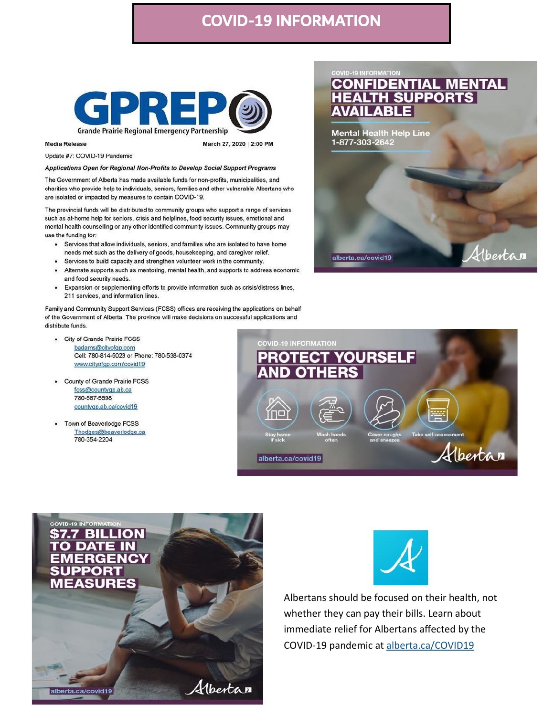### **COVID-19 INFORMATION**



**Media Release** 

March 27, 2020 | 2:00 PM

Update #7: COVID-19 Pandemic

Applications Open for Regional Non-Profits to Develop Social Support Programs

The Government of Alberta has made available funds for non-profits, municipalities, and charities who provide help to individuals, seniors, families and other vulnerable Albertans who are isolated or impacted by measures to contain COVID-19.

The provincial funds will be distributed to community groups who support a range of services such as at-home help for seniors, crisis and helplines, food security issues, emotional and mental health counselling or any other identified community issues. Community groups may use the funding for:

- Services that allow individuals, seniors, and families who are isolated to have home needs met such as the delivery of goods, housekeeping, and caregiver relief.
- Services to build capacity and strengthen volunteer work in the community.
- Alternate supports such as mentoring, mental health, and supports to address economic and food security needs.
- Expansion or supplementing efforts to provide information such as crisis/distress lines, 211 services, and information lines.

Family and Community Support Services (FCSS) offices are receiving the applications on behalf of the Government of Alberta. The province will make decisions on successful applications and distribute funds.

- City of Grande Prairie FCSS badams@cityofgp.com Cell: 780-814-5023 or Phone: 780-538-0374 www.cityofgp.com/covid19
- County of Grande Prairie FCSS fcss@countygp.ab.ca 780-567-5598 countyqp.ab.ca/covid19
- Town of Beaverlodge FCSS Thodges@beaverlodge.ca 780-354-2204









Albertans should be focused on their health, not whether they can pay their bills. Learn about immediate relief for Albertans affected by the COVID-19 pandemic at alberta.ca/COVID19